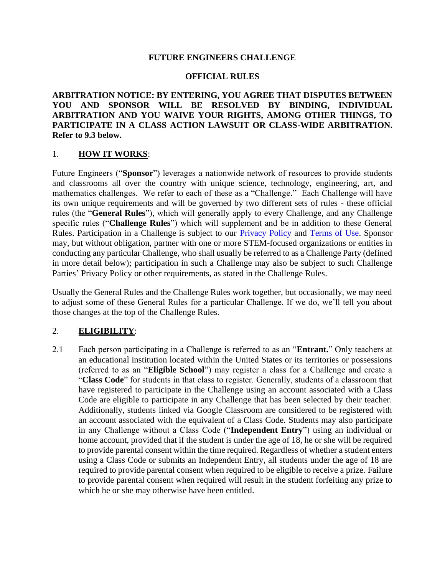#### **FUTURE ENGINEERS CHALLENGE**

#### **OFFICIAL RULES**

**ARBITRATION NOTICE: BY ENTERING, YOU AGREE THAT DISPUTES BETWEEN YOU AND SPONSOR WILL BE RESOLVED BY BINDING, INDIVIDUAL ARBITRATION AND YOU WAIVE YOUR RIGHTS, AMONG OTHER THINGS, TO PARTICIPATE IN A CLASS ACTION LAWSUIT OR CLASS-WIDE ARBITRATION. Refer to 9.3 below.**

#### 1. **HOW IT WORKS**:

Future Engineers ("**Sponsor**") leverages a nationwide network of resources to provide students and classrooms all over the country with unique science, technology, engineering, art, and mathematics challenges. We refer to each of these as a "Challenge." Each Challenge will have its own unique requirements and will be governed by two different sets of rules - these official rules (the "**General Rules**"), which will generally apply to every Challenge, and any Challenge specific rules ("**Challenge Rules**") which will supplement and be in addition to these General Rules. Participation in a Challenge is subject to our [Privacy Policy](https://www.futureengineers.org/Pdfs/PrivacyPolicy.pdf) and [Terms of Use.](https://www.futureengineers.org/Pdfs/TermsofService.pdf.https:/www.futureengineers.org/Pdfs/TermsofService.pdf.) Sponsor may, but without obligation, partner with one or more STEM-focused organizations or entities in conducting any particular Challenge, who shall usually be referred to as a Challenge Party (defined in more detail below); participation in such a Challenge may also be subject to such Challenge Parties' Privacy Policy or other requirements, as stated in the Challenge Rules.

Usually the General Rules and the Challenge Rules work together, but occasionally, we may need to adjust some of these General Rules for a particular Challenge. If we do, we'll tell you about those changes at the top of the Challenge Rules.

### 2. **ELIGIBILITY**:

2.1 Each person participating in a Challenge is referred to as an "**Entrant.**" Only teachers at an educational institution located within the United States or its territories or possessions (referred to as an "**Eligible School**") may register a class for a Challenge and create a "**Class Code**" for students in that class to register. Generally, students of a classroom that have registered to participate in the Challenge using an account associated with a Class Code are eligible to participate in any Challenge that has been selected by their teacher. Additionally, students linked via Google Classroom are considered to be registered with an account associated with the equivalent of a Class Code. Students may also participate in any Challenge without a Class Code ("**Independent Entry**") using an individual or home account, provided that if the student is under the age of 18, he or she will be required to provide parental consent within the time required. Regardless of whether a student enters using a Class Code or submits an Independent Entry, all students under the age of 18 are required to provide parental consent when required to be eligible to receive a prize. Failure to provide parental consent when required will result in the student forfeiting any prize to which he or she may otherwise have been entitled.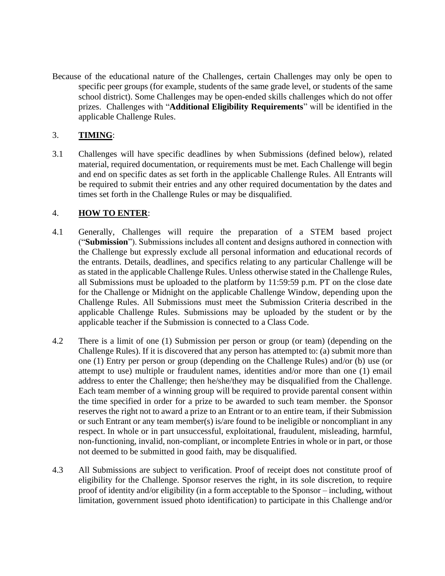Because of the educational nature of the Challenges, certain Challenges may only be open to specific peer groups (for example, students of the same grade level, or students of the same school district). Some Challenges may be open-ended skills challenges which do not offer prizes. Challenges with "**Additional Eligibility Requirements**" will be identified in the applicable Challenge Rules.

## 3. **TIMING**:

3.1 Challenges will have specific deadlines by when Submissions (defined below), related material, required documentation, or requirements must be met. Each Challenge will begin and end on specific dates as set forth in the applicable Challenge Rules. All Entrants will be required to submit their entries and any other required documentation by the dates and times set forth in the Challenge Rules or may be disqualified.

## 4. **HOW TO ENTER**:

- 4.1 Generally, Challenges will require the preparation of a STEM based project ("**Submission**"). Submissions includes all content and designs authored in connection with the Challenge but expressly exclude all personal information and educational records of the entrants. Details, deadlines, and specifics relating to any particular Challenge will be as stated in the applicable Challenge Rules. Unless otherwise stated in the Challenge Rules, all Submissions must be uploaded to the platform by 11:59:59 p.m. PT on the close date for the Challenge or Midnight on the applicable Challenge Window, depending upon the Challenge Rules. All Submissions must meet the Submission Criteria described in the applicable Challenge Rules. Submissions may be uploaded by the student or by the applicable teacher if the Submission is connected to a Class Code.
- 4.2 There is a limit of one (1) Submission per person or group (or team) (depending on the Challenge Rules). If it is discovered that any person has attempted to: (a) submit more than one (1) Entry per person or group (depending on the Challenge Rules) and/or (b) use (or attempt to use) multiple or fraudulent names, identities and/or more than one (1) email address to enter the Challenge; then he/she/they may be disqualified from the Challenge. Each team member of a winning group will be required to provide parental consent within the time specified in order for a prize to be awarded to such team member. the Sponsor reserves the right not to award a prize to an Entrant or to an entire team, if their Submission or such Entrant or any team member(s) is/are found to be ineligible or noncompliant in any respect. In whole or in part unsuccessful, exploitational, fraudulent, misleading, harmful, non-functioning, invalid, non-compliant, or incomplete Entries in whole or in part, or those not deemed to be submitted in good faith, may be disqualified.
- 4.3 All Submissions are subject to verification. Proof of receipt does not constitute proof of eligibility for the Challenge. Sponsor reserves the right, in its sole discretion, to require proof of identity and/or eligibility (in a form acceptable to the Sponsor – including, without limitation, government issued photo identification) to participate in this Challenge and/or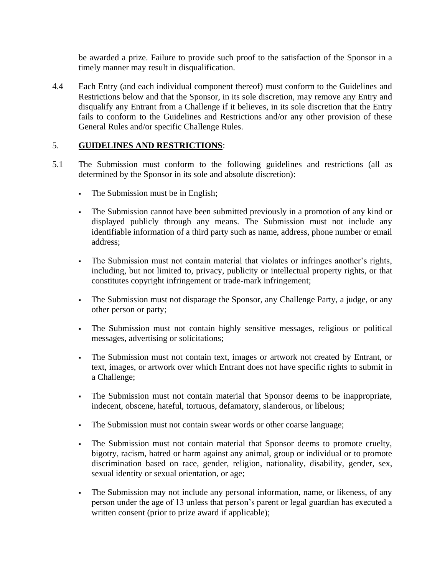be awarded a prize. Failure to provide such proof to the satisfaction of the Sponsor in a timely manner may result in disqualification.

4.4 Each Entry (and each individual component thereof) must conform to the Guidelines and Restrictions below and that the Sponsor, in its sole discretion, may remove any Entry and disqualify any Entrant from a Challenge if it believes, in its sole discretion that the Entry fails to conform to the Guidelines and Restrictions and/or any other provision of these General Rules and/or specific Challenge Rules.

### 5. **GUIDELINES AND RESTRICTIONS**:

- 5.1 The Submission must conform to the following guidelines and restrictions (all as determined by the Sponsor in its sole and absolute discretion):
	- **The Submission must be in English;**
	- The Submission cannot have been submitted previously in a promotion of any kind or displayed publicly through any means. The Submission must not include any identifiable information of a third party such as name, address, phone number or email address;
	- The Submission must not contain material that violates or infringes another's rights, including, but not limited to, privacy, publicity or intellectual property rights, or that constitutes copyright infringement or trade-mark infringement;
	- The Submission must not disparage the Sponsor, any Challenge Party, a judge, or any other person or party;
	- The Submission must not contain highly sensitive messages, religious or political messages, advertising or solicitations;
	- The Submission must not contain text, images or artwork not created by Entrant, or text, images, or artwork over which Entrant does not have specific rights to submit in a Challenge;
	- The Submission must not contain material that Sponsor deems to be inappropriate, indecent, obscene, hateful, tortuous, defamatory, slanderous, or libelous;
	- The Submission must not contain swear words or other coarse language;
	- The Submission must not contain material that Sponsor deems to promote cruelty, bigotry, racism, hatred or harm against any animal, group or individual or to promote discrimination based on race, gender, religion, nationality, disability, gender, sex, sexual identity or sexual orientation, or age;
	- The Submission may not include any personal information, name, or likeness, of any person under the age of 13 unless that person's parent or legal guardian has executed a written consent (prior to prize award if applicable);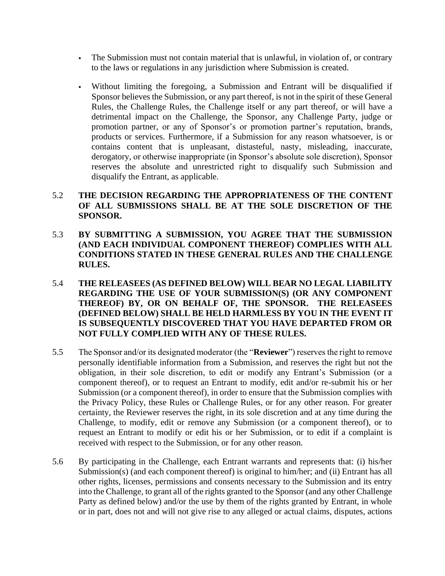- The Submission must not contain material that is unlawful, in violation of, or contrary to the laws or regulations in any jurisdiction where Submission is created.
- Without limiting the foregoing, a Submission and Entrant will be disqualified if Sponsor believes the Submission, or any part thereof, is not in the spirit of these General Rules, the Challenge Rules, the Challenge itself or any part thereof, or will have a detrimental impact on the Challenge, the Sponsor, any Challenge Party, judge or promotion partner, or any of Sponsor's or promotion partner's reputation, brands, products or services. Furthermore, if a Submission for any reason whatsoever, is or contains content that is unpleasant, distasteful, nasty, misleading, inaccurate, derogatory, or otherwise inappropriate (in Sponsor's absolute sole discretion), Sponsor reserves the absolute and unrestricted right to disqualify such Submission and disqualify the Entrant, as applicable.

### 5.2 **THE DECISION REGARDING THE APPROPRIATENESS OF THE CONTENT OF ALL SUBMISSIONS SHALL BE AT THE SOLE DISCRETION OF THE SPONSOR.**

- 5.3 **BY SUBMITTING A SUBMISSION, YOU AGREE THAT THE SUBMISSION (AND EACH INDIVIDUAL COMPONENT THEREOF) COMPLIES WITH ALL CONDITIONS STATED IN THESE GENERAL RULES AND THE CHALLENGE RULES.**
- 5.4 **THE RELEASEES (AS DEFINED BELOW) WILL BEAR NO LEGAL LIABILITY REGARDING THE USE OF YOUR SUBMISSION(S) (OR ANY COMPONENT THEREOF) BY, OR ON BEHALF OF, THE SPONSOR. THE RELEASEES (DEFINED BELOW) SHALL BE HELD HARMLESS BY YOU IN THE EVENT IT IS SUBSEQUENTLY DISCOVERED THAT YOU HAVE DEPARTED FROM OR NOT FULLY COMPLIED WITH ANY OF THESE RULES.**
- 5.5 The Sponsor and/or its designated moderator (the "**Reviewer**") reserves the right to remove personally identifiable information from a Submission, and reserves the right but not the obligation, in their sole discretion, to edit or modify any Entrant's Submission (or a component thereof), or to request an Entrant to modify, edit and/or re-submit his or her Submission (or a component thereof), in order to ensure that the Submission complies with the Privacy Policy, these Rules or Challenge Rules, or for any other reason. For greater certainty, the Reviewer reserves the right, in its sole discretion and at any time during the Challenge, to modify, edit or remove any Submission (or a component thereof), or to request an Entrant to modify or edit his or her Submission, or to edit if a complaint is received with respect to the Submission, or for any other reason.
- 5.6 By participating in the Challenge, each Entrant warrants and represents that: (i) his/her Submission(s) (and each component thereof) is original to him/her; and (ii) Entrant has all other rights, licenses, permissions and consents necessary to the Submission and its entry into the Challenge, to grant all of the rights granted to the Sponsor (and any other Challenge Party as defined below) and/or the use by them of the rights granted by Entrant, in whole or in part, does not and will not give rise to any alleged or actual claims, disputes, actions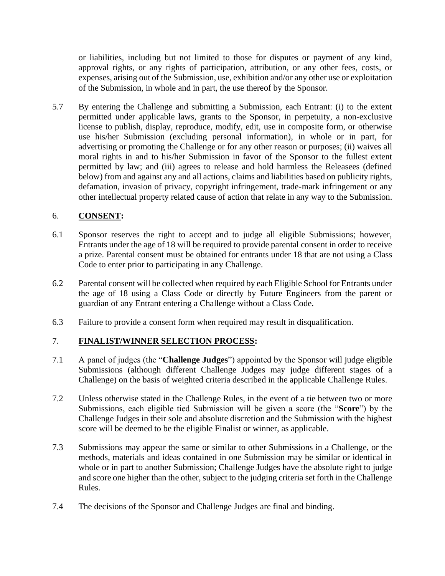or liabilities, including but not limited to those for disputes or payment of any kind, approval rights, or any rights of participation, attribution, or any other fees, costs, or expenses, arising out of the Submission, use, exhibition and/or any other use or exploitation of the Submission, in whole and in part, the use thereof by the Sponsor.

5.7 By entering the Challenge and submitting a Submission, each Entrant: (i) to the extent permitted under applicable laws, grants to the Sponsor, in perpetuity, a non-exclusive license to publish, display, reproduce, modify, edit, use in composite form, or otherwise use his/her Submission (excluding personal information), in whole or in part, for advertising or promoting the Challenge or for any other reason or purposes; (ii) waives all moral rights in and to his/her Submission in favor of the Sponsor to the fullest extent permitted by law; and (iii) agrees to release and hold harmless the Releasees (defined below) from and against any and all actions, claims and liabilities based on publicity rights, defamation, invasion of privacy, copyright infringement, trade-mark infringement or any other intellectual property related cause of action that relate in any way to the Submission.

## 6. **CONSENT:**

- 6.1 Sponsor reserves the right to accept and to judge all eligible Submissions; however, Entrants under the age of 18 will be required to provide parental consent in order to receive a prize. Parental consent must be obtained for entrants under 18 that are not using a Class Code to enter prior to participating in any Challenge.
- 6.2 Parental consent will be collected when required by each Eligible School for Entrants under the age of 18 using a Class Code or directly by Future Engineers from the parent or guardian of any Entrant entering a Challenge without a Class Code.
- 6.3 Failure to provide a consent form when required may result in disqualification.

# 7. **FINALIST/WINNER SELECTION PROCESS:**

- 7.1 A panel of judges (the "**Challenge Judges**") appointed by the Sponsor will judge eligible Submissions (although different Challenge Judges may judge different stages of a Challenge) on the basis of weighted criteria described in the applicable Challenge Rules.
- 7.2 Unless otherwise stated in the Challenge Rules, in the event of a tie between two or more Submissions, each eligible tied Submission will be given a score (the "**Score**") by the Challenge Judges in their sole and absolute discretion and the Submission with the highest score will be deemed to be the eligible Finalist or winner, as applicable.
- 7.3 Submissions may appear the same or similar to other Submissions in a Challenge, or the methods, materials and ideas contained in one Submission may be similar or identical in whole or in part to another Submission; Challenge Judges have the absolute right to judge and score one higher than the other, subject to the judging criteria set forth in the Challenge Rules.
- 7.4 The decisions of the Sponsor and Challenge Judges are final and binding.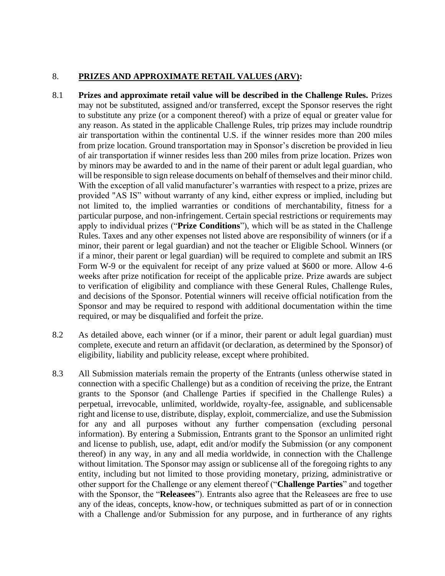## 8. **PRIZES AND APPROXIMATE RETAIL VALUES (ARV):**

- 8.1 **Prizes and approximate retail value will be described in the Challenge Rules.** Prizes may not be substituted, assigned and/or transferred, except the Sponsor reserves the right to substitute any prize (or a component thereof) with a prize of equal or greater value for any reason. As stated in the applicable Challenge Rules, trip prizes may include roundtrip air transportation within the continental U.S. if the winner resides more than 200 miles from prize location. Ground transportation may in Sponsor's discretion be provided in lieu of air transportation if winner resides less than 200 miles from prize location. Prizes won by minors may be awarded to and in the name of their parent or adult legal guardian, who will be responsible to sign release documents on behalf of themselves and their minor child. With the exception of all valid manufacturer's warranties with respect to a prize, prizes are provided "AS IS" without warranty of any kind, either express or implied, including but not limited to, the implied warranties or conditions of merchantability, fitness for a particular purpose, and non-infringement. Certain special restrictions or requirements may apply to individual prizes ("**Prize Conditions**"), which will be as stated in the Challenge Rules. Taxes and any other expenses not listed above are responsibility of winners (or if a minor, their parent or legal guardian) and not the teacher or Eligible School. Winners (or if a minor, their parent or legal guardian) will be required to complete and submit an IRS Form W-9 or the equivalent for receipt of any prize valued at \$600 or more. Allow 4-6 weeks after prize notification for receipt of the applicable prize. Prize awards are subject to verification of eligibility and compliance with these General Rules, Challenge Rules, and decisions of the Sponsor. Potential winners will receive official notification from the Sponsor and may be required to respond with additional documentation within the time required, or may be disqualified and forfeit the prize.
- 8.2 As detailed above, each winner (or if a minor, their parent or adult legal guardian) must complete, execute and return an affidavit (or declaration, as determined by the Sponsor) of eligibility, liability and publicity release, except where prohibited.
- 8.3 All Submission materials remain the property of the Entrants (unless otherwise stated in connection with a specific Challenge) but as a condition of receiving the prize, the Entrant grants to the Sponsor (and Challenge Parties if specified in the Challenge Rules) a perpetual, irrevocable, unlimited, worldwide, royalty-fee, assignable, and sublicensable right and license to use, distribute, display, exploit, commercialize, and use the Submission for any and all purposes without any further compensation (excluding personal information). By entering a Submission, Entrants grant to the Sponsor an unlimited right and license to publish, use, adapt, edit and/or modify the Submission (or any component thereof) in any way, in any and all media worldwide, in connection with the Challenge without limitation. The Sponsor may assign or sublicense all of the foregoing rights to any entity, including but not limited to those providing monetary, prizing, administrative or other support for the Challenge or any element thereof ("**Challenge Parties**" and together with the Sponsor, the "**Releasees**"). Entrants also agree that the Releasees are free to use any of the ideas, concepts, know-how, or techniques submitted as part of or in connection with a Challenge and/or Submission for any purpose, and in furtherance of any rights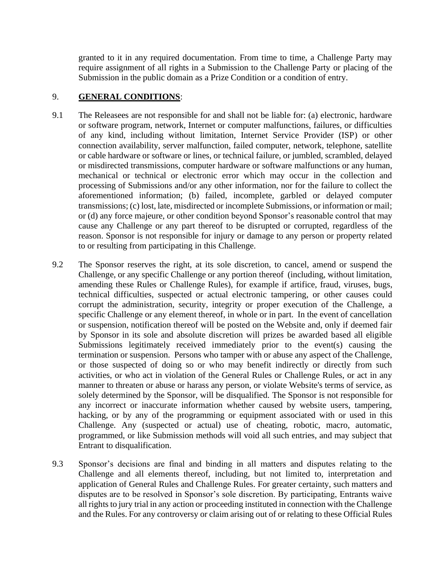granted to it in any required documentation. From time to time, a Challenge Party may require assignment of all rights in a Submission to the Challenge Party or placing of the Submission in the public domain as a Prize Condition or a condition of entry.

### 9. **GENERAL CONDITIONS**:

- 9.1 The Releasees are not responsible for and shall not be liable for: (a) electronic, hardware or software program, network, Internet or computer malfunctions, failures, or difficulties of any kind, including without limitation, Internet Service Provider (ISP) or other connection availability, server malfunction, failed computer, network, telephone, satellite or cable hardware or software or lines, or technical failure, or jumbled, scrambled, delayed or misdirected transmissions, computer hardware or software malfunctions or any human, mechanical or technical or electronic error which may occur in the collection and processing of Submissions and/or any other information, nor for the failure to collect the aforementioned information; (b) failed, incomplete, garbled or delayed computer transmissions; (c) lost, late, misdirected or incomplete Submissions, or information or mail; or (d) any force majeure, or other condition beyond Sponsor's reasonable control that may cause any Challenge or any part thereof to be disrupted or corrupted, regardless of the reason. Sponsor is not responsible for injury or damage to any person or property related to or resulting from participating in this Challenge.
- 9.2 The Sponsor reserves the right, at its sole discretion, to cancel, amend or suspend the Challenge, or any specific Challenge or any portion thereof (including, without limitation, amending these Rules or Challenge Rules), for example if artifice, fraud, viruses, bugs, technical difficulties, suspected or actual electronic tampering, or other causes could corrupt the administration, security, integrity or proper execution of the Challenge, a specific Challenge or any element thereof, in whole or in part. In the event of cancellation or suspension, notification thereof will be posted on the Website and, only if deemed fair by Sponsor in its sole and absolute discretion will prizes be awarded based all eligible Submissions legitimately received immediately prior to the event(s) causing the termination or suspension. Persons who tamper with or abuse any aspect of the Challenge, or those suspected of doing so or who may benefit indirectly or directly from such activities, or who act in violation of the General Rules or Challenge Rules, or act in any manner to threaten or abuse or harass any person, or violate Website's terms of service, as solely determined by the Sponsor, will be disqualified. The Sponsor is not responsible for any incorrect or inaccurate information whether caused by website users, tampering, hacking, or by any of the programming or equipment associated with or used in this Challenge. Any (suspected or actual) use of cheating, robotic, macro, automatic, programmed, or like Submission methods will void all such entries, and may subject that Entrant to disqualification.
- 9.3 Sponsor's decisions are final and binding in all matters and disputes relating to the Challenge and all elements thereof, including, but not limited to, interpretation and application of General Rules and Challenge Rules. For greater certainty, such matters and disputes are to be resolved in Sponsor's sole discretion. By participating, Entrants waive all rights to jury trial in any action or proceeding instituted in connection with the Challenge and the Rules. For any controversy or claim arising out of or relating to these Official Rules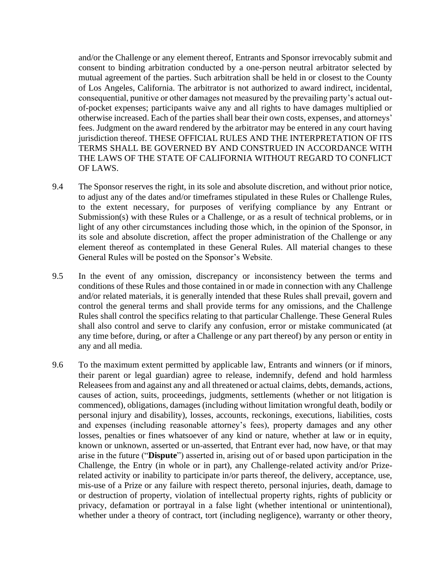and/or the Challenge or any element thereof, Entrants and Sponsor irrevocably submit and consent to binding arbitration conducted by a one-person neutral arbitrator selected by mutual agreement of the parties. Such arbitration shall be held in or closest to the County of Los Angeles, California. The arbitrator is not authorized to award indirect, incidental, consequential, punitive or other damages not measured by the prevailing party's actual outof-pocket expenses; participants waive any and all rights to have damages multiplied or otherwise increased. Each of the parties shall bear their own costs, expenses, and attorneys' fees. Judgment on the award rendered by the arbitrator may be entered in any court having jurisdiction thereof. THESE OFFICIAL RULES AND THE INTERPRETATION OF ITS TERMS SHALL BE GOVERNED BY AND CONSTRUED IN ACCORDANCE WITH THE LAWS OF THE STATE OF CALIFORNIA WITHOUT REGARD TO CONFLICT OF LAWS.

- 9.4 The Sponsor reserves the right, in its sole and absolute discretion, and without prior notice, to adjust any of the dates and/or timeframes stipulated in these Rules or Challenge Rules, to the extent necessary, for purposes of verifying compliance by any Entrant or Submission(s) with these Rules or a Challenge, or as a result of technical problems, or in light of any other circumstances including those which, in the opinion of the Sponsor, in its sole and absolute discretion, affect the proper administration of the Challenge or any element thereof as contemplated in these General Rules. All material changes to these General Rules will be posted on the Sponsor's Website.
- 9.5 In the event of any omission, discrepancy or inconsistency between the terms and conditions of these Rules and those contained in or made in connection with any Challenge and/or related materials, it is generally intended that these Rules shall prevail, govern and control the general terms and shall provide terms for any omissions, and the Challenge Rules shall control the specifics relating to that particular Challenge. These General Rules shall also control and serve to clarify any confusion, error or mistake communicated (at any time before, during, or after a Challenge or any part thereof) by any person or entity in any and all media.
- 9.6 To the maximum extent permitted by applicable law, Entrants and winners (or if minors, their parent or legal guardian) agree to release, indemnify, defend and hold harmless Releasees from and against any and all threatened or actual claims, debts, demands, actions, causes of action, suits, proceedings, judgments, settlements (whether or not litigation is commenced), obligations, damages (including without limitation wrongful death, bodily or personal injury and disability), losses, accounts, reckonings, executions, liabilities, costs and expenses (including reasonable attorney's fees), property damages and any other losses, penalties or fines whatsoever of any kind or nature, whether at law or in equity, known or unknown, asserted or un-asserted, that Entrant ever had, now have, or that may arise in the future ("**Dispute**") asserted in, arising out of or based upon participation in the Challenge, the Entry (in whole or in part), any Challenge-related activity and/or Prizerelated activity or inability to participate in/or parts thereof, the delivery, acceptance, use, mis-use of a Prize or any failure with respect thereto, personal injuries, death, damage to or destruction of property, violation of intellectual property rights, rights of publicity or privacy, defamation or portrayal in a false light (whether intentional or unintentional), whether under a theory of contract, tort (including negligence), warranty or other theory,